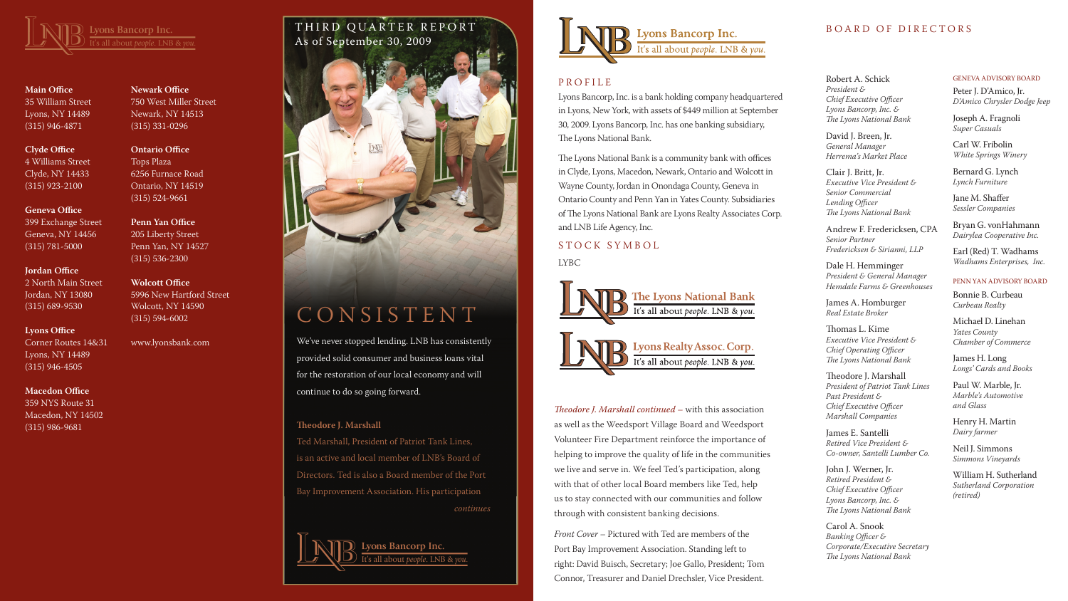

**Main Office** 35 William Street Lyons, NY 14489 (315) 946-4871

**Clyde Office** 4 Williams Street Clyde, NY 14433

### (315) 923-2100

**Geneva Office** 399 Exchange Street Geneva, NY 14456 (315) 781-5000

#### **Jordan Office**

2 North Main Street Jordan, NY 13080 (315) 689-9530

#### **Lyons Office**

Corner Routes 14&31 Lyons, NY 14489 (315) 946-4505

#### **Macedon Office**

359 NYS Route 31 Macedon, NY 14502 (315) 986-9681

# **Newark Office**

750 West Miller Street Newark, NY 14513 (315) 331-0296

**Ontario Office** Tops Plaza 6256 Furnace Road Ontario, NY 14519 (315) 524-9661

#### **Penn Yan Office**

205 Liberty Street Penn Yan, NY 14527 (315) 536-2300

#### **Wolcott Office**

5996 New Hartford Street Wolcott, NY 14590 (315) 594-6002

www.lyonsbank.com

Lyons Bancorp, Inc. is a bank holding company headquartered in Lyons, New York, with assets of \$449 million at September 30, 2009. Lyons Bancorp, Inc. has one banking subsidiary, The Lyons National Bank.

The Lyons National Bank is a community bank with offices in Clyde, Lyons, Macedon, Newark, Ontario and Wolcott in Wayne County, Jordan in Onondaga County, Geneva in Ontario County and Penn Yan in Yates County. Subsidiaries of The Lyons National Bank are Lyons Realty Associates Corp. and LNB Life Agency, Inc.

S T O C K S Y M B O L LYBC



It's all about *people*. LNB & you.

#### Robert A. Schick

*President & Chief Executive Officer Lyons Bancorp, Inc. & The Lyons National Bank*

David J. Breen, Jr. *General Manager Herrema's Market Place*

### THIRD QUARTER REPORT As of September 30, 2009



Clair J. Britt, Jr. *Executive Vice President & Senior Commercial Lending Officer The Lyons National Bank*

Andrew F. Fredericksen, CPA *Senior Partner Fredericksen & Sirianni, LLP*

Dale H. Hemminger *President & General Manager Hemdale Farms & Greenhouses*

James A. Homburger *Real Estate Broker*

Thomas L. Kime *Executive Vice President & Chief Operating Officer The Lyons National Bank*

Theodore J. Marshall *President of Patriot Tank Lines Past President & Chief Executive Officer Marshall Companies*

James E. Santelli *Retired Vice President & Co-owner, Santelli Lumber Co.*

John J. Werner, Jr. *Retired President & Chief Executive Officer Lyons Bancorp, Inc. & The Lyons National Bank*

Carol A. Snook *Banking Officer & Corporate/Executive Secretary The Lyons National Bank*

#### GENEVA ADVISORY BOARD

Peter J. D'Amico, Jr. *D'Amico Chrysler Dodge Jeep*

Joseph A. Fragnoli *Super Casuals*

Carl W. Fribolin *White Springs Winery*

Bernard G. Lynch *Lynch Furniture*

Jane M. Shaffer *Sessler Companies*

Bryan G. vonHahmann *Dairylea Cooperative Inc.*

Earl (Red) T. Wadhams *Wadhams Enterprises, Inc.*

#### PENN YAN ADVISORY BOARD

Bonnie B. Curbeau *Curbeau Realty*

Michael D. Linehan *Yates County Chamber of Commerce*

James H. Long *Longs' Cards and Books*

Paul W. Marble, Jr. *Marble's Automotive and Glass*

Henry H. Martin *Dairy farmer*

Neil J. Simmons *Simmons Vineyards*

William H. Sutherland *Sutherland Corporation (retired)*

## C O N S I S T E N T

We've never stopped lending. LNB has consistently provided solid consumer and business loans vital for the restoration of our local economy and will continue to do so going forward.

#### **Theodore J. Marshall**

Ted Marshall, President of Patriot Tank Lines, is an active and local member of LNB's Board of Directors. Ted is also a Board member of the Port Bay Improvement Association. His participation *continues*

Lyons Bancorp Inc. all about *people*. LNB & vou



#### **P R O F I L E**

*Theodore J. Marshall continued* – with this association as well as the Weedsport Village Board and Weedsport Volunteer Fire Department reinforce the importance of helping to improve the quality of life in the communities we live and serve in. We feel Ted's participation, along with that of other local Board members like Ted, help us to stay connected with our communities and follow through with consistent banking decisions.

*Front Cover* – Pictured with Ted are members of the Port Bay Improvement Association. Standing left to right: David Buisch, Secretary; Joe Gallo, President; Tom Connor, Treasurer and Daniel Drechsler, Vice President.

#### BOARD OF DIRECTORS